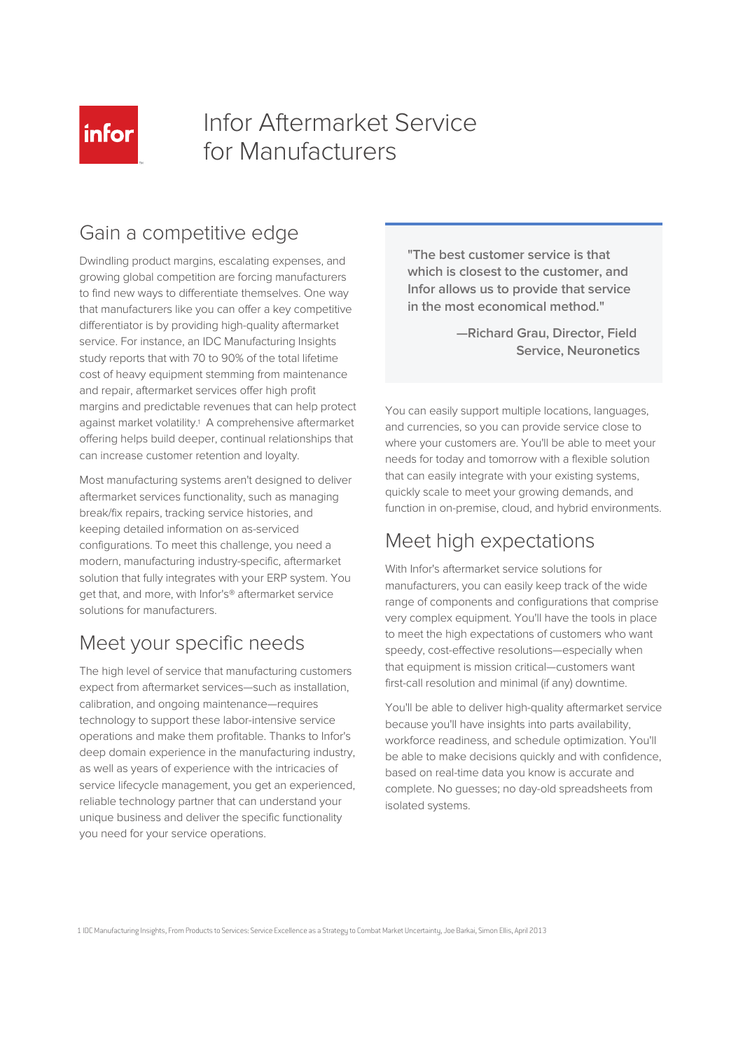

# Infor Aftermarket Service for Manufacturers

### Gain a competitive edge

Dwindling product margins, escalating expenses, and growing global competition are forcing manufacturers to find new ways to differentiate themselves. One way that manufacturers like you can offer a key competitive differentiator is by providing high-quality aftermarket service. For instance, an IDC Manufacturing Insights study reports that with 70 to 90% of the total lifetime cost of heavy equipment stemming from maintenance and repair, aftermarket services offer high profit margins and predictable revenues that can help protect against market volatility.<sup>1</sup> A comprehensive aftermarket offering helps build deeper, continual relationships that can increase customer retention and loyalty.

Most manufacturing systems aren't designed to deliver aftermarket services functionality, such as managing break/fix repairs, tracking service histories, and keeping detailed information on as-serviced configurations. To meet this challenge, you need a modern, manufacturing industry-specific, aftermarket solution that fully integrates with your ERP system. You get that, and more, with Infor's® aftermarket service solutions for manufacturers.

### Meet your specific needs

The high level of service that manufacturing customers expect from aftermarket services—such as installation, calibration, and ongoing maintenance—requires technology to support these labor-intensive service operations and make them profitable. Thanks to Infor's deep domain experience in the manufacturing industry, as well as years of experience with the intricacies of service lifecycle management, you get an experienced, reliable technology partner that can understand your unique business and deliver the specific functionality you need for your service operations.

**"The best customer service is that which is closest to the customer, and Infor allows us to provide that service in the most economical method."**

> **—Richard Grau, Director, Field Service, Neuronetics**

You can easily support multiple locations, languages, and currencies, so you can provide service close to where your customers are. You'll be able to meet your needs for today and tomorrow with a flexible solution that can easily integrate with your existing systems, quickly scale to meet your growing demands, and function in on-premise, cloud, and hybrid environments.

## Meet high expectations

With Infor's aftermarket service solutions for manufacturers, you can easily keep track of the wide range of components and configurations that comprise very complex equipment. You'll have the tools in place to meet the high expectations of customers who want speedy, cost-effective resolutions—especially when that equipment is mission critical—customers want first-call resolution and minimal (if any) downtime.

You'll be able to deliver high-quality aftermarket service because you'll have insights into parts availability, workforce readiness, and schedule optimization. You'll be able to make decisions quickly and with confidence, based on real-time data you know is accurate and complete. No guesses; no day-old spreadsheets from isolated systems.

1 IDC Manufacturing Insights, From Products to Services: Service Excellence as a Strategy to Combat Market Uncertainty, Joe Barkai, Simon Ellis, April 2013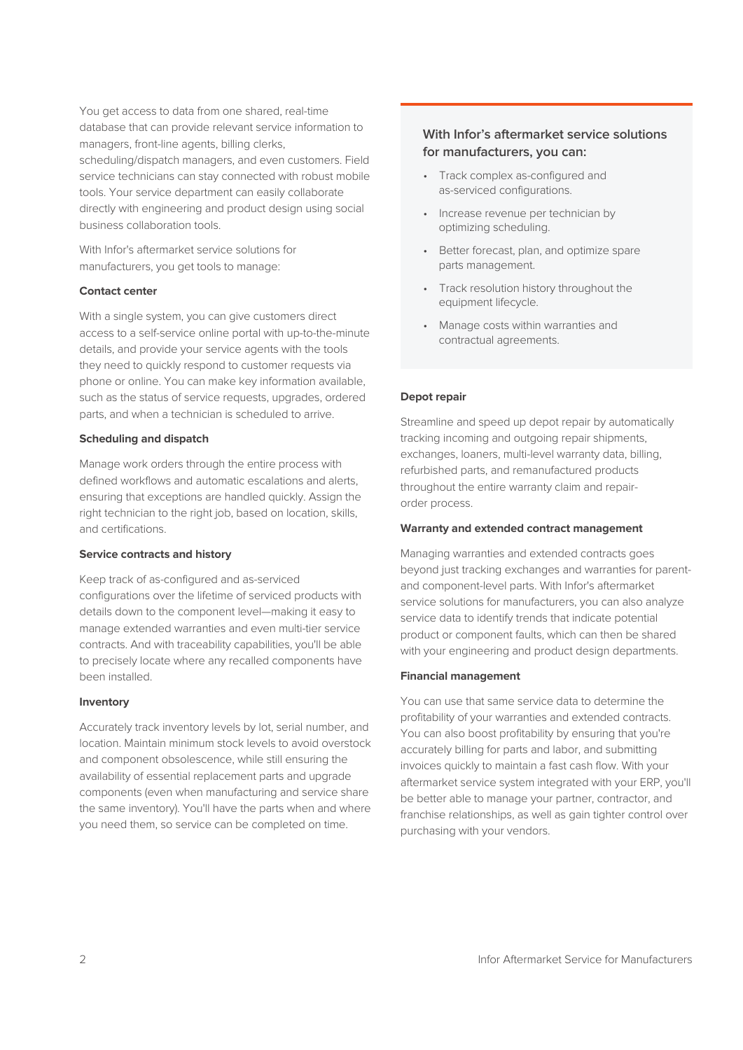You get access to data from one shared, real-time database that can provide relevant service information to managers, front-line agents, billing clerks, scheduling/dispatch managers, and even customers. Field service technicians can stay connected with robust mobile tools. Your service department can easily collaborate directly with engineering and product design using social business collaboration tools.

With Infor's aftermarket service solutions for manufacturers, you get tools to manage:

#### **Contact center**

With a single system, you can give customers direct access to a self-service online portal with up-to-the-minute details, and provide your service agents with the tools they need to quickly respond to customer requests via phone or online. You can make key information available, such as the status of service requests, upgrades, ordered parts, and when a technician is scheduled to arrive.

#### **Scheduling and dispatch**

Manage work orders through the entire process with defined workflows and automatic escalations and alerts, ensuring that exceptions are handled quickly. Assign the right technician to the right job, based on location, skills, and certifications.

#### **Service contracts and history**

Keep track of as-configured and as-serviced configurations over the lifetime of serviced products with details down to the component level—making it easy to manage extended warranties and even multi-tier service contracts. And with traceability capabilities, you'll be able to precisely locate where any recalled components have been installed.

#### **Inventory**

Accurately track inventory levels by lot, serial number, and location. Maintain minimum stock levels to avoid overstock and component obsolescence, while still ensuring the availability of essential replacement parts and upgrade components (even when manufacturing and service share the same inventory). You'll have the parts when and where you need them, so service can be completed on time.

### **With Infor's aftermarket service solutions for manufacturers, you can:**

- Track complex as-configured and as-serviced configurations.
- Increase revenue per technician by optimizing scheduling.
- Better forecast, plan, and optimize spare parts management.
- Track resolution history throughout the equipment lifecycle.
- Manage costs within warranties and contractual agreements.

#### **Depot repair**

Streamline and speed up depot repair by automatically tracking incoming and outgoing repair shipments, exchanges, loaners, multi-level warranty data, billing, refurbished parts, and remanufactured products throughout the entire warranty claim and repairorder process.

#### **Warranty and extended contract management**

Managing warranties and extended contracts goes beyond just tracking exchanges and warranties for parentand component-level parts. With Infor's aftermarket service solutions for manufacturers, you can also analyze service data to identify trends that indicate potential product or component faults, which can then be shared with your engineering and product design departments.

#### **Financial management**

You can use that same service data to determine the profitability of your warranties and extended contracts. You can also boost profitability by ensuring that you're accurately billing for parts and labor, and submitting invoices quickly to maintain a fast cash flow. With your aftermarket service system integrated with your ERP, you'll be better able to manage your partner, contractor, and franchise relationships, as well as gain tighter control over purchasing with your vendors.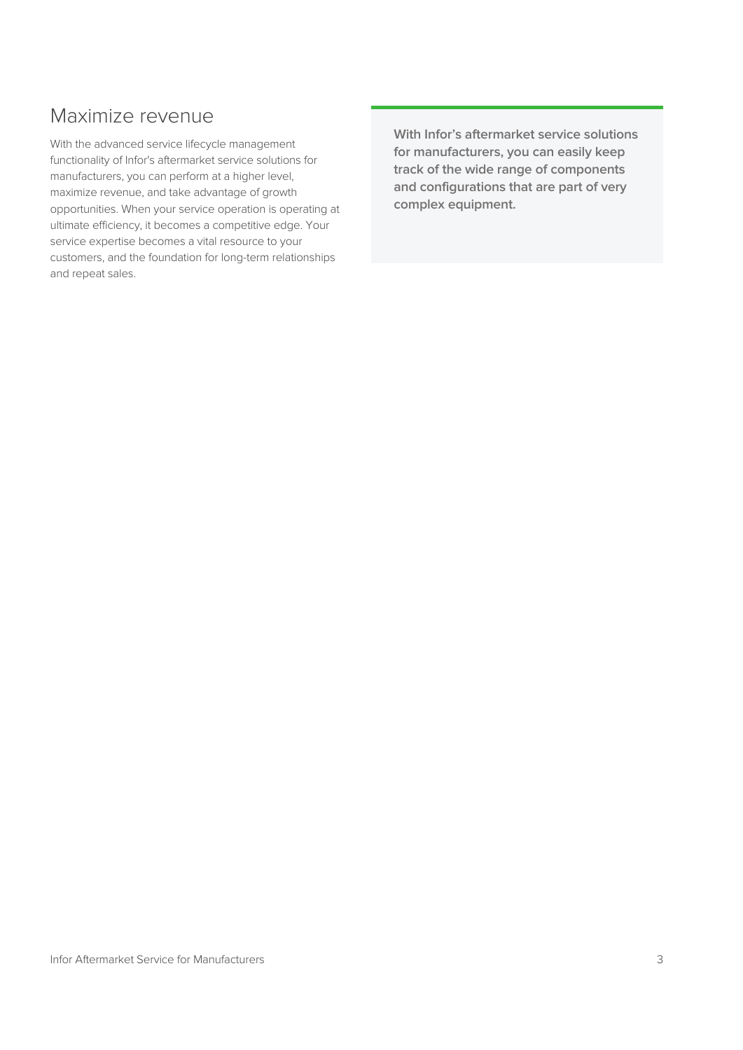## Maximize revenue

With the advanced service lifecycle management functionality of Infor's aftermarket service solutions for manufacturers, you can perform at a higher level, maximize revenue, and take advantage of growth opportunities. When your service operation is operating at ultimate efficiency, it becomes a competitive edge. Your service expertise becomes a vital resource to your customers, and the foundation for long-term relationships and repeat sales.

**With Infor's aftermarket service solutions for manufacturers, you can easily keep track of the wide range of components and configurations that are part of very complex equipment.**